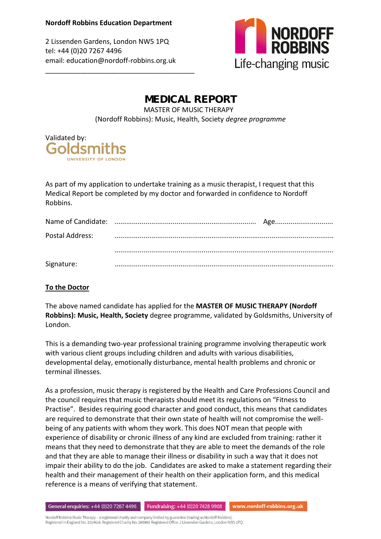2 Lissenden Gardens, London NW5 1PQ tel: +44 (0)20 7267 4496 email: education@nordoff-robbins.org.uk

\_\_\_\_\_\_\_\_\_\_\_\_\_\_\_\_\_\_\_\_\_\_\_\_\_\_\_\_\_\_\_\_\_\_\_\_\_\_\_



## MEDICAL REPORT MASTER OF MUSIC THERAPY (Nordoff Robbins): Music, Health, Society *degree programme*



As part of my application to undertake training as a music therapist, I request that this Medical Report be completed by my doctor and forwarded in confidence to Nordoff Robbins.

|                 | Age |
|-----------------|-----|
| Postal Address: |     |
|                 |     |
|                 |     |
| Signature:      |     |

## **To the Doctor**

The above named candidate has applied for the **MASTER OF MUSIC THERAPY (Nordoff Robbins): Music, Health, Society** degree programme, validated by Goldsmiths, University of London.

This is a demanding two-year professional training programme involving therapeutic work with various client groups including children and adults with various disabilities, developmental delay, emotionally disturbance, mental health problems and chronic or terminal illnesses.

As a profession, music therapy is registered by the Health and Care Professions Council and the council requires that music therapists should meet its regulations on "Fitness to Practise". Besides requiring good character and good conduct, this means that candidates are required to demonstrate that their own state of health will not compromise the wellbeing of any patients with whom they work. This does NOT mean that people with experience of disability or chronic illness of any kind are excluded from training: rather it means that they need to demonstrate that they are able to meet the demands of the role and that they are able to manage their illness or disability in such a way that it does not impair their ability to do the job. Candidates are asked to make a statement regarding their health and their management of their health on their application form, and this medical reference is a means of verifying that statement.

www.nordoff-robbins.org.uk General enquiries: +44 (0)20 7267 4496 **Fundraising:** +44 (0)20 7428 9908

Nordoff Robbins Music Therapy - a registered charity and company limited by guarantee (trading as Nordoff Robbins). Registered in England No. 1514616. Registered Charity No. 280960. Registered Office: 2 Lissenden Gardens, London NW5 1PQ